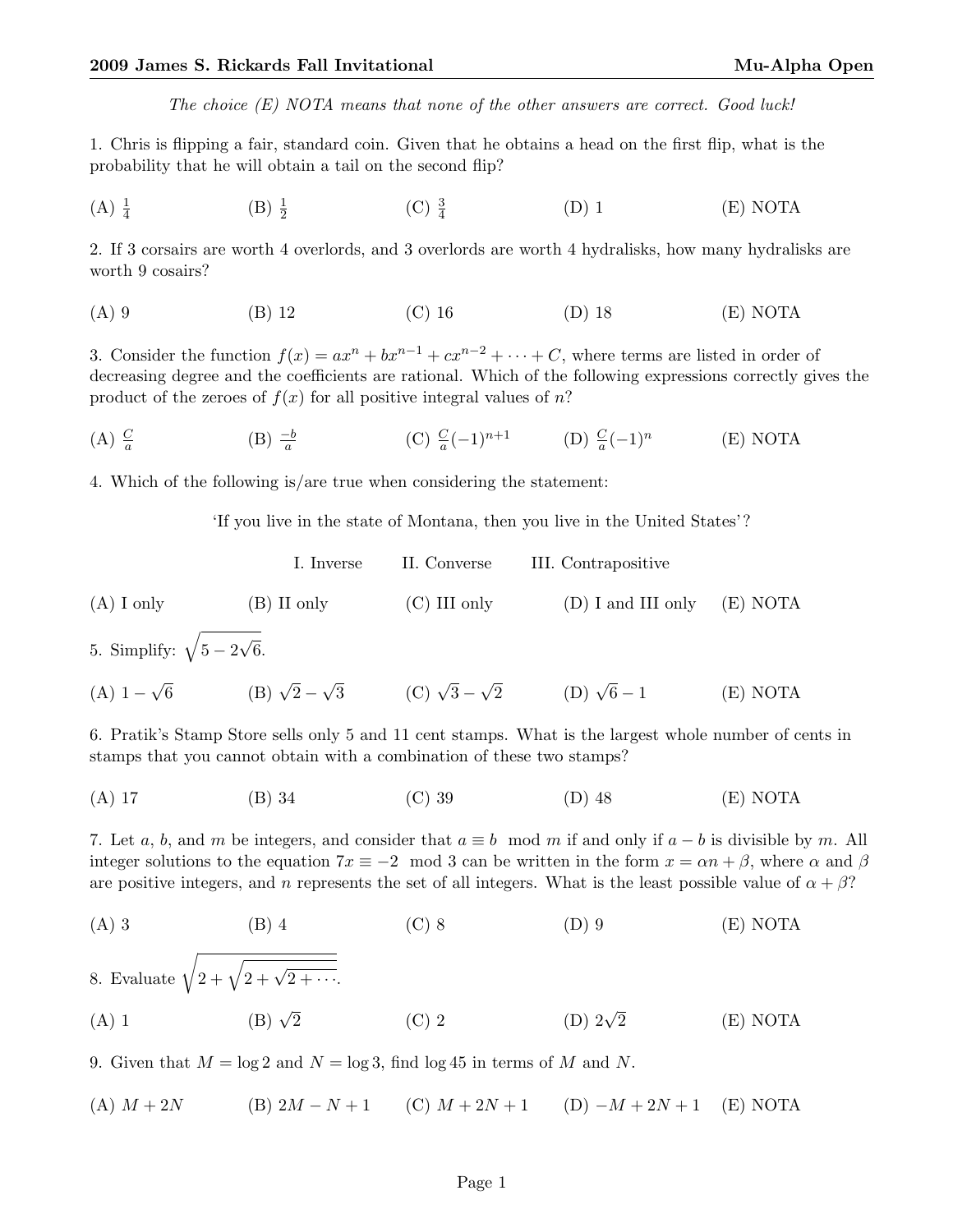The choice  $(E)$  NOTA means that none of the other answers are correct. Good luck!

1. Chris is flipping a fair, standard coin. Given that he obtains a head on the first flip, what is the probability that he will obtain a tail on the second flip?

 $(A) \frac{1}{4}$  $(B) \frac{1}{2}$  $(C) \frac{3}{4}$ (D) 1 (E) NOTA

2. If 3 corsairs are worth 4 overlords, and 3 overlords are worth 4 hydralisks, how many hydralisks are worth 9 cosairs?

(A) 9 (B) 12 (C) 16 (D) 18 (E) NOTA

3. Consider the function  $f(x) = ax^n + bx^{n-1} + cx^{n-2} + \cdots + C$ , where terms are listed in order of decreasing degree and the coefficients are rational. Which of the following expressions correctly gives the product of the zeroes of  $f(x)$  for all positive integral values of n?

 $(A)$   $\frac{C}{a}$ (B)  $\frac{-b}{a}$  (C)  $\frac{C}{a}(-1)^{n+1}$  (D)  $\frac{C}{a}(-1)^n$ (E) NOTA

4. Which of the following is/are true when considering the statement:

'If you live in the state of Montana, then you live in the United States'?

I. Inverse II. Converse III. Contrapositive (A) I only (B) II only (C) III only (D) I and III only (E) NOTA √

5. Simplify:  $\sqrt{5-2}$ 6.

 $(A)$  1 −  $\sqrt{6}$  (B)  $\sqrt{2}$  –  $\sqrt{3}$  (C)  $\sqrt{3}$  –  $\sqrt{2}$  (D)  $\sqrt{2}$  $(E)$  NOTA

6. Pratik's Stamp Store sells only 5 and 11 cent stamps. What is the largest whole number of cents in stamps that you cannot obtain with a combination of these two stamps?

(A) 17 (B) 34 (C) 39 (D) 48 (E) NOTA

7. Let a, b, and m be integers, and consider that  $a \equiv b \mod m$  if and only if  $a - b$  is divisible by m. All integer solutions to the equation  $7x \equiv -2 \mod 3$  can be written in the form  $x = \alpha n + \beta$ , where  $\alpha$  and  $\beta$ are positive integers, and n represents the set of all integers. What is the least possible value of  $\alpha + \beta$ ?

(A) 3 (B) 4 (C) 8 (D) 9 (E) NOTA  
8. Evaluate 
$$
\sqrt{2 + \sqrt{2 + \sqrt{2 + \cdots}}}
$$
  
(A) 1 (B)  $\sqrt{2}$  (C) 2 (D)  $2\sqrt{2}$  (E) NOTA

9. Given that  $M = \log 2$  and  $N = \log 3$ , find  $\log 45$  in terms of M and N.

(A)  $M + 2N$  (B)  $2M - N + 1$  (C)  $M + 2N + 1$  (D)  $-M + 2N + 1$  (E) NOTA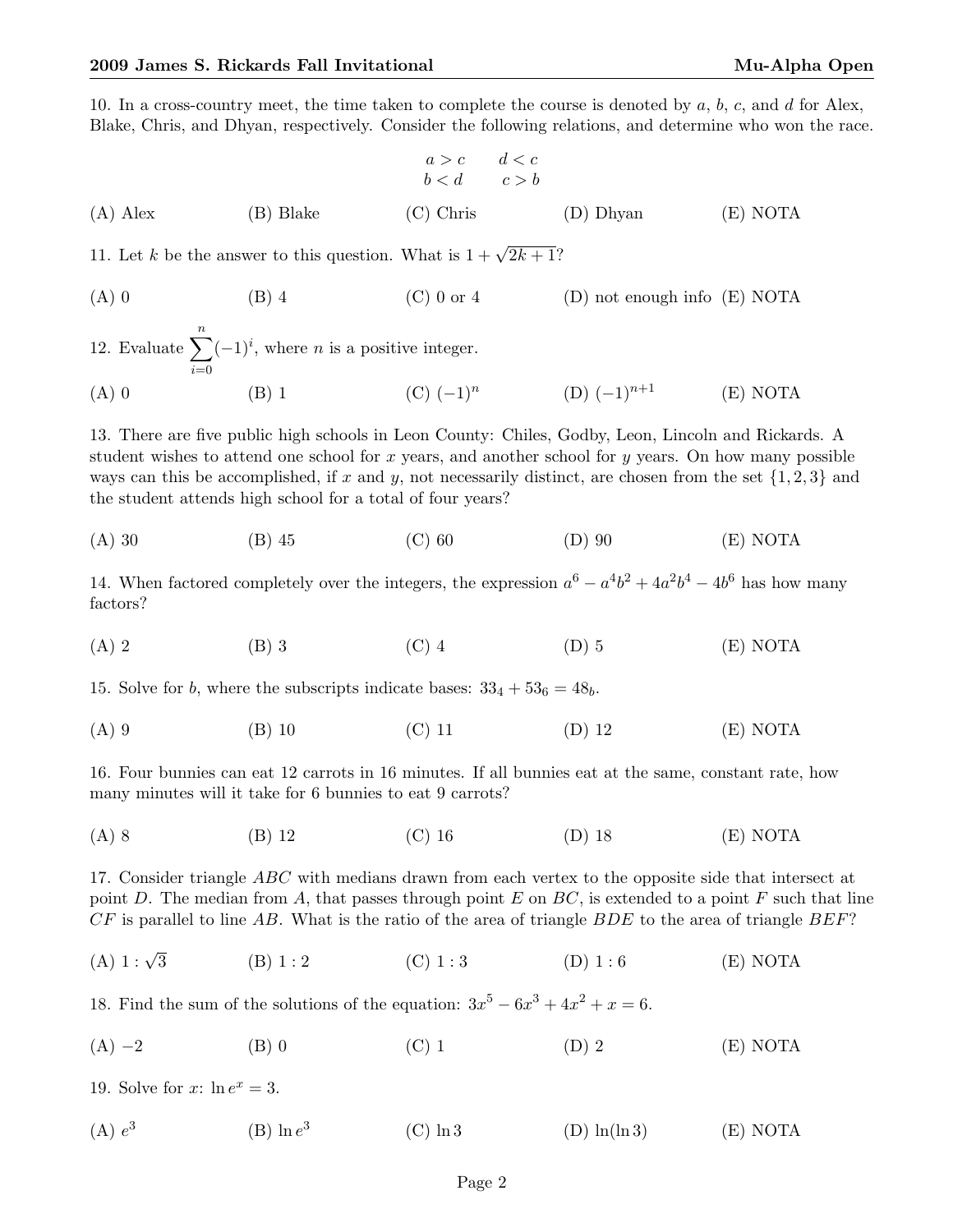10. In a cross-country meet, the time taken to complete the course is denoted by  $a, b, c$ , and  $d$  for Alex, Blake, Chris, and Dhyan, respectively. Consider the following relations, and determine who won the race.

$$
a > c \qquad d < c
$$
  
\n
$$
b < d \qquad c > b
$$
  
\n(A) Alex (B) Blake (C) Chris (D) Dhyan (E) NOTA

11. Let k be the answer to this question. What is  $1 + \sqrt{2k+1}$ ?

(A) 0 (B) 4 (C) 0 or 4 (D) not enough info (E) NOTA

| 12. Evaluate $\sum (-1)^i$ , where <i>n</i> is a positive integer. |         |                |                    |          |
|--------------------------------------------------------------------|---------|----------------|--------------------|----------|
| $(A)$ 0                                                            | $(B)$ 1 | $(C)$ $(-1)^n$ | $(D)$ $(-1)^{n+1}$ | (E) NOTA |

13. There are five public high schools in Leon County: Chiles, Godby, Leon, Lincoln and Rickards. A student wishes to attend one school for x years, and another school for y years. On how many possible ways can this be accomplished, if x and y, not necessarily distinct, are chosen from the set  $\{1, 2, 3\}$  and the student attends high school for a total of four years?

(A) 30 (B) 45 (C) 60 (D) 90 (E) NOTA

14. When factored completely over the integers, the expression  $a^6 - a^4b^2 + 4a^2b^4 - 4b^6$  has how many factors?

(A) 2 (B) 3 (C) 4 (D) 5 (E) NOTA

15. Solve for b, where the subscripts indicate bases:  $33_4 + 53_6 = 48_b$ .

(A) 9 (B) 10 (C) 11 (D) 12 (E) NOTA

16. Four bunnies can eat 12 carrots in 16 minutes. If all bunnies eat at the same, constant rate, how many minutes will it take for 6 bunnies to eat 9 carrots?

(A) 8 (B) 12 (C) 16 (D) 18 (E) NOTA

17. Consider triangle ABC with medians drawn from each vertex to the opposite side that intersect at point D. The median from A, that passes through point E on  $BC$ , is extended to a point F such that line  $CF$  is parallel to line AB. What is the ratio of the area of triangle BDE to the area of triangle BEF?

(A)  $1:\sqrt{3}$ (B)  $1:2$  (C)  $1:3$  (D)  $1:6$  (E) NOTA

18. Find the sum of the solutions of the equation:  $3x^5 - 6x^3 + 4x^2 + x = 6$ .

(A) −2 (B) 0 (C) 1 (D) 2 (E) NOTA

19. Solve for x:  $\ln e^x = 3$ .

 $(A) e<sup>3</sup>$ (B)  $\ln e^3$ (C)  $\ln 3$  (D)  $\ln(\ln 3)$  (E) NOTA